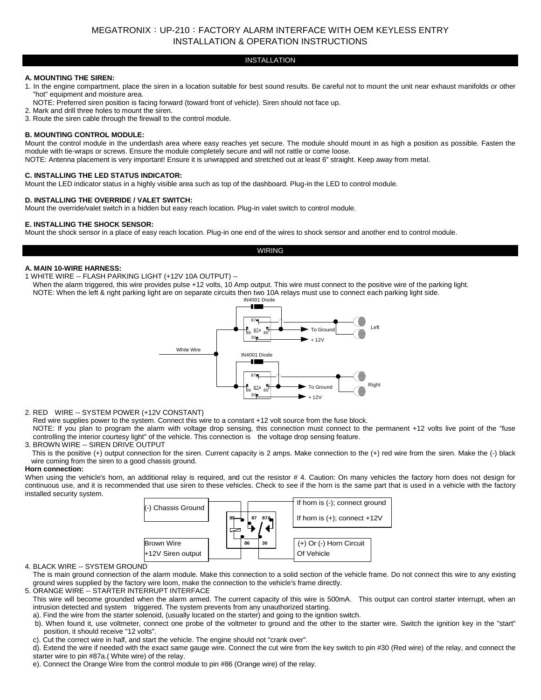# MEGATRONIX:UP-210:FACTORY ALARM INTERFACE WITH OEM KEYLESS ENTRY INSTALLATION & OPERATION INSTRUCTIONS

## INSTALLATION

## **A. MOUNTING THE SIREN:**

- 1. In the engine compartment, place the siren in a location suitable for best sound results. Be careful not to mount the unit near exhaust manifolds or other "hot" equipment and moisture area.
- NOTE: Preferred siren position is facing forward (toward front of vehicle). Siren should not face up.
- 2. Mark and drill three holes to mount the siren.
- 3. Route the siren cable through the firewall to the control module.

## **B. MOUNTING CONTROL MODULE:**

Mount the control module in the underdash area where easy reaches yet secure. The module should mount in as high a position as possible. Fasten the module with tie-wraps or screws. Ensure the module completely secure and will not rattle or come loose. NOTE: Antenna placement is very important! Ensure it is unwrapped and stretched out at least 6" straight. Keep away from metal.

## **C. INSTALLING THE LED STATUS INDICATOR:**

Mount the LED indicator status in a highly visible area such as top of the dashboard. Plug-in the LED to control module.

## **D. INSTALLING THE OVERRIDE / VALET SWITCH:**

Mount the override/valet switch in a hidden but easy reach location. Plug-in valet switch to control module.

## **E. INSTALLING THE SHOCK SENSOR:**

Mount the shock sensor in a place of easy reach location. Plug-in one end of the wires to shock sensor and another end to control module.

## WIRING

## **A. MAIN 10-WIRE HARNESS:**

1 WHITE WIRE -- FLASH PARKING LIGHT (+12V 10A OUTPUT) --

When the alarm triggered, this wire provides pulse +12 volts, 10 Amp output. This wire must connect to the positive wire of the parking light. NOTE: When the left & right parking light are on separate circuits then two 10A relays must use to connect each parking light side.



## 2. RED WIRE -- SYSTEM POWER (+12V CONSTANT)

Red wire supplies power to the system. Connect this wire to a constant +12 volt source from the fuse block.

NOTE: If you plan to program the alarm with voltage drop sensing, this connection must connect to the permanent +12 volts live point of the "fuse controlling the interior courtesy light" of the vehicle. This connection is the voltage drop sensing feature.

## 3. BROWN WIRE -- SIREN DRIVE OUTPUT

 This is the positive (+) output connection for the siren. Current capacity is 2 amps. Make connection to the (+) red wire from the siren. Make the (-) black wire coming from the siren to a good chassis ground.

## **Horn connection:**

When using the vehicle's horn, an additional relay is required, and cut the resistor #4. Caution: On many vehicles the factory horn does not design for continuous use, and it is recommended that use siren to these vehicles. Check to see if the horn is the same part that is used in a vehicle with the factory installed security system.



## 4. BLACK WIRE -- SYSTEM GROUND

The is main ground connection of the alarm module. Make this connection to a solid section of the vehicle frame. Do not connect this wire to any existing ground wires supplied by the factory wire loom, make the connection to the vehicle's frame directly.

- 5. ORANGE WIRE -- STARTER INTERRUPT INTERFACE
- This wire will become grounded when the alarm armed. The current capacity of this wire is 500mA. This output can control starter interrupt, when an intrusion detected and system triggered. The system prevents from any unauthorized starting.
- a). Find the wire from the starter solenoid, (usually located on the starter) and going to the ignition switch.
- b). When found it, use voltmeter, connect one probe of the voltmeter to ground and the other to the starter wire. Switch the ignition key in the "start" position, it should receive "12 volts".
- c). Cut the correct wire in half, and start the vehicle. The engine should not "crank over".
- d). Extend the wire if needed with the exact same gauge wire. Connect the cut wire from the key switch to pin #30 (Red wire) of the relay, and connect the starter wire to pin #87a.( White wire) of the relay.
- e). Connect the Orange Wire from the control module to pin #86 (Orange wire) of the relay.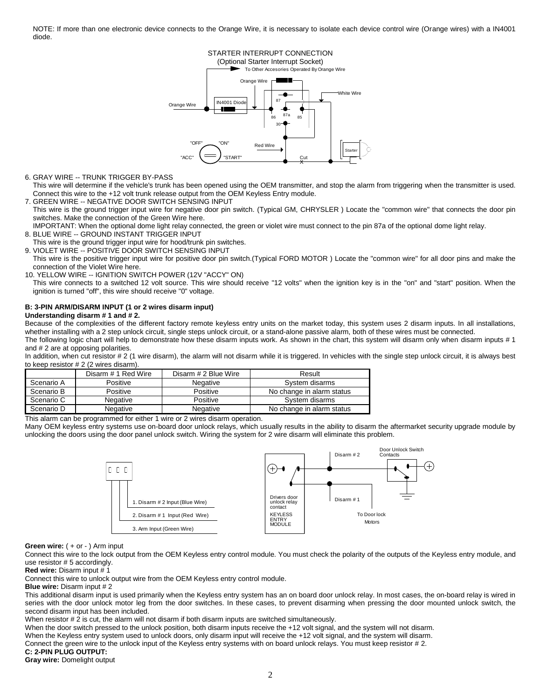NOTE: If more than one electronic device connects to the Orange Wire, it is necessary to isolate each device control wire (Orange wires) with a IN4001 diode.

## STARTER INTERRUPT CONNECTION

(Optional Starter Interrupt Socket)



6. GRAY WIRE -- TRUNK TRIGGER BY-PASS

This wire will determine if the vehicle's trunk has been opened using the OEM transmitter, and stop the alarm from triggering when the transmitter is used. Connect this wire to the +12 volt trunk release output from the OEM Keyless Entry module.

7. GREEN WIRE -- NEGATIVE DOOR SWITCH SENSING INPUT This wire is the ground trigger input wire for negative door pin switch. (Typical GM, CHRYSLER ) Locate the "common wire" that connects the door pin switches. Make the connection of the Green Wire here.

IMPORTANT: When the optional dome light relay connected, the green or violet wire must connect to the pin 87a of the optional dome light relay. 8. BLUE WIRE -- GROUND INSTANT TRIGGER INPUT

This wire is the ground trigger input wire for hood/trunk pin switches.

9. VIOLET WIRE -- POSITIVE DOOR SWITCH SENSING INPUT This wire is the positive trigger input wire for positive door pin switch.(Typical FORD MOTOR ) Locate the "common wire" for all door pins and make the connection of the Violet Wire here.

10. YELLOW WIRE -- IGNITION SWITCH POWER (12V "ACCY" ON)

This wire connects to a switched 12 volt source. This wire should receive "12 volts" when the ignition key is in the "on" and "start" position. When the ignition is turned "off", this wire should receive "0" voltage.

#### **B: 3-PIN ARM/DISARM INPUT (1 or 2 wires disarm input) Understanding disarm # 1 and # 2.**

Because of the complexities of the different factory remote keyless entry units on the market today, this system uses 2 disarm inputs. In all installations, whether installing with a 2 step unlock circuit, single steps unlock circuit, or a stand-alone passive alarm, both of these wires must be connected. The following logic chart will help to demonstrate how these disarm inputs work. As shown in the chart, this system will disarm only when disarm inputs # 1

and # 2 are at opposing polarities.

In addition, when cut resistor # 2 (1 wire disarm), the alarm will not disarm while it is triggered. In vehicles with the single step unlock circuit, it is always best to keep resistor # 2 (2 wires disarm).

|            | Disarm # 1 Red Wire | Disarm # 2 Blue Wire | Result                    |
|------------|---------------------|----------------------|---------------------------|
| Scenario A | Positive            | Negative             | System disarms            |
| Scenario B | Positive            | Positive             | No change in alarm status |
| Scenario C | Negative            | Positive             | System disarms            |
| Scenario D | Negative            | Negative             | No change in alarm status |

This alarm can be programmed for either 1 wire or 2 wires disarm operation.

Many OEM keyless entry systems use on-board door unlock relays, which usually results in the ability to disarm the aftermarket security upgrade module by unlocking the doors using the door panel unlock switch. Wiring the system for 2 wire disarm will eliminate this problem.



**Green wire:**  $( + or - )$  Arm input

Connect this wire to the lock output from the OEM Keyless entry control module. You must check the polarity of the outputs of the Keyless entry module, and use resistor # 5 accordingly.

**Red wire:** Disarm input # 1

Connect this wire to unlock output wire from the OEM Keyless entry control module.

**Blue wire:** Disarm input # 2

This additional disarm input is used primarily when the Keyless entry system has an on board door unlock relay. In most cases, the on-board relay is wired in series with the door unlock motor leg from the door switches. In these cases, to prevent disarming when pressing the door mounted unlock switch, the second disarm input has been included.

When resistor # 2 is cut, the alarm will not disarm if both disarm inputs are switched simultaneously.

When the door switch pressed to the unlock position, both disarm inputs receive the +12 volt signal, and the system will not disarm.

When the Keyless entry system used to unlock doors, only disarm input will receive the +12 volt signal, and the system will disarm.

Connect the green wire to the unlock input of the Keyless entry systems with on board unlock relays. You must keep resistor # 2.

## **C: 2-PIN PLUG OUTPUT:**

**Gray wire:** Domelight output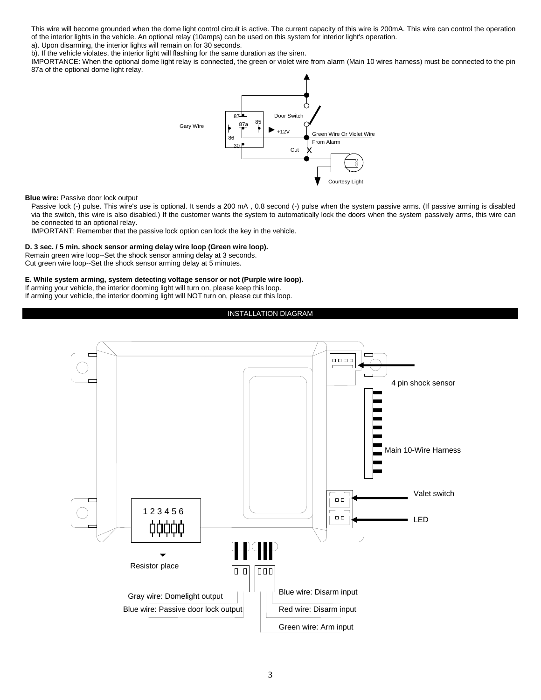This wire will become grounded when the dome light control circuit is active. The current capacity of this wire is 200mA. This wire can control the operation of the interior lights in the vehicle. An optional relay (10amps) can be used on this system for interior light's operation.

a). Upon disarming, the interior lights will remain on for 30 seconds.

b). If the vehicle violates, the interior light will flashing for the same duration as the siren.

IMPORTANCE: When the optional dome light relay is connected, the green or violet wire from alarm (Main 10 wires harness) must be connected to the pin 87a of the optional dome light relay.



#### **Blue wire: Passive door lock output**

Passive lock (-) pulse. This wire's use is optional. It sends a 200 mA, 0.8 second (-) pulse when the system passive arms. (If passive arming is disabled via the switch, this wire is also disabled.) If the customer wants the system to automatically lock the doors when the system passively arms, this wire can be connected to an optional relay.

IMPORTANT: Remember that the passive lock option can lock the key in the vehicle.

#### **D. 3 sec. / 5 min. shock sensor arming delay wire loop (Green wire loop).**

Remain green wire loop--Set the shock sensor arming delay at 3 seconds.

Cut green wire loop--Set the shock sensor arming delay at 5 minutes.

#### **E. While system arming, system detecting voltage sensor or not (Purple wire loop).**

If arming your vehicle, the interior dooming light will turn on, please keep this loop. If arming your vehicle, the interior dooming light will NOT turn on, please cut this loop.

### INSTALLATION DIAGRAM

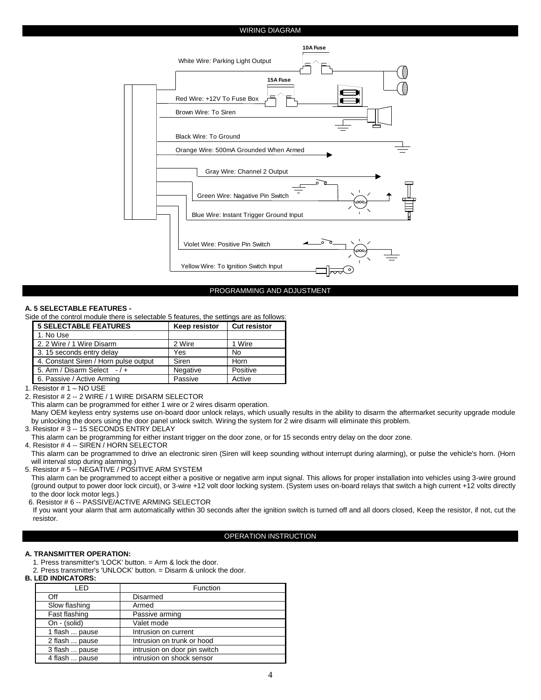## WIRING DIAGRAM



#### PROGRAMMING AND ADJUSTMENT

#### **A. 5 SELECTABLE FEATURES -**

Side of the control module there is selectable 5 features, the settings are as follows:

| <b>5 SELECTABLE FEATURES</b>          | <b>Keep resistor</b> | <b>Cut resistor</b> |  |  |
|---------------------------------------|----------------------|---------------------|--|--|
| 1. No Use                             |                      |                     |  |  |
| 2. 2 Wire / 1 Wire Disarm             | 2 Wire               | 1 Wire              |  |  |
| 3.15 seconds entry delay              | Yes                  | <b>No</b>           |  |  |
| 4. Constant Siren / Horn pulse output | Siren                | Horn                |  |  |
| 5. Arm / Disarm Select $-1$ +         | Negative             | Positive            |  |  |
| 6. Passive / Active Arming            | Passive              | Active              |  |  |

1. Resistor # 1 – NO USE

2. Resistor # 2 -- 2 WIRE / 1 WIRE DISARM SELECTOR

This alarm can be programmed for either 1 wire or 2 wires disarm operation.

Many OEM keyless entry systems use on-board door unlock relays, which usually results in the ability to disarm the aftermarket security upgrade module by unlocking the doors using the door panel unlock switch. Wiring the system for 2 wire disarm will eliminate this problem.

3. Resistor # 3 -- 15 SECONDS ENTRY DELAY

This alarm can be programming for either instant trigger on the door zone, or for 15 seconds entry delay on the door zone.

4. Resistor # 4 -- SIREN / HORN SELECTOR

This alarm can be programmed to drive an electronic siren (Siren will keep sounding without interrupt during alarming), or pulse the vehicle's horn. (Horn will interval stop during alarming.)

5. Resistor # 5 -- NEGATIVE / POSITIVE ARM SYSTEM

This alarm can be programmed to accept either a positive or negative arm input signal. This allows for proper installation into vehicles using 3-wire ground (ground output to power door lock circuit), or 3-wire +12 volt door locking system. (System uses on-board relays that switch a high current +12 volts directly to the door lock motor legs.)

6. Resistor # 6 -- PASSIVE/ACTIVE ARMING SELECTOR

If you want your alarm that arm automatically within 30 seconds after the ignition switch is turned off and all doors closed, Keep the resistor, if not, cut the resistor.

#### OPERATION INSTRUCTION

## **A. TRANSMITTER OPERATION:**

- 1. Press transmitter's 'LOCK' button. = Arm & lock the door.
- 2. Press transmitter's 'UNLOCK' button. = Disarm & unlock the door.

#### **B. LED INDICATORS:**

| I FD           | Function                     |  |
|----------------|------------------------------|--|
| Off            | Disarmed                     |  |
| Slow flashing  | Armed                        |  |
| Fast flashing  | Passive arming               |  |
| On - (solid)   | Valet mode                   |  |
| 1 flash  pause | Intrusion on current         |  |
| 2 flash  pause | Intrusion on trunk or hood   |  |
| 3 flash  pause | intrusion on door pin switch |  |
| 4 flash  pause | intrusion on shock sensor    |  |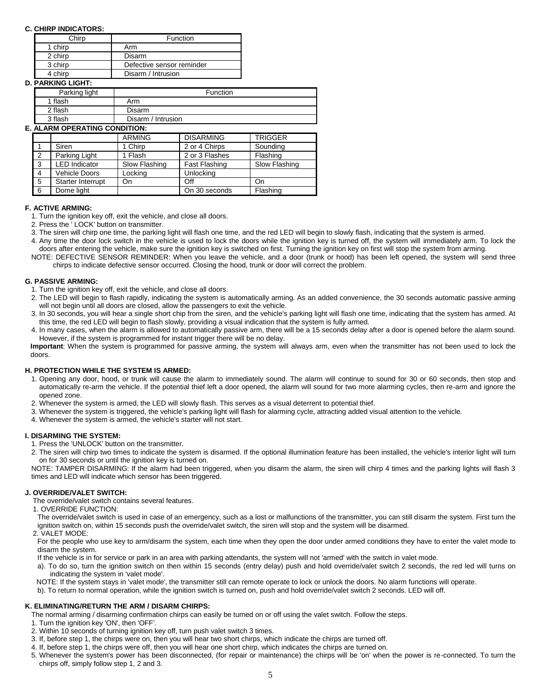## **C. CHIRP INDICATORS:**

| Chirp   | Function                  |  |
|---------|---------------------------|--|
| 1 chirp | Arm                       |  |
| 2 chirp | Disarm                    |  |
| 3 chirp | Defective sensor reminder |  |
| 4 chirp | Disarm / Intrusion        |  |

## **D. PARKING LIGHT:**

| Parking light | Function           |
|---------------|--------------------|
| 1 flash       | Arm                |
| 2 flash       | Disarm             |
| 3 flash       | Disarm / Intrusion |

## **E. ALARM OPERATING CONDITION:**

|              |                      | <b>ARMING</b> | <b>DISARMING</b> | <b>TRIGGER</b> |
|--------------|----------------------|---------------|------------------|----------------|
|              | Siren                | 1 Chirp       | 2 or 4 Chirps    | Sounding       |
| 2            | Parking Light        | 1 Flash       | 2 or 3 Flashes   | Flashing       |
| $\mathbf{3}$ | <b>LED</b> Indicator | Slow Flashing | Fast Flashing    | Slow Flashing  |
| 4            | <b>Vehicle Doors</b> | Locking       | Unlocking        |                |
| 5            | Starter Interrupt    | On            | Off              | On             |
| 6            | Dome light           |               | On 30 seconds    | Flashing       |

#### **F. ACTIVE ARMING:**

1. Turn the ignition key off, exit the vehicle, and close all doors.

- 2. Press the ' LOCK' button on transmitter.
- 3. The siren will chirp one time, the parking light will flash one time, and the red LED will begin to slowly flash, indicating that the system is armed.
- 4. Any time the door lock switch in the vehicle is used to lock the doors while the ignition key is turned off, the system will immediately arm. To lock the doors after entering the vehicle, make sure the ignition key is switched on first. Turning the ignition key on first will stop the system from arming.
- NOTE: DEFECTIVE SENSOR REMINDER: When you leave the vehicle, and a door (trunk or hood) has been left opened, the system will send three chirps to indicate defective sensor occurred. Closing the hood, trunk or door will correct the problem.

### **G. PASSIVE ARMING:**

- 1. Turn the ignition key off, exit the vehicle, and close all doors.
- 2. The LED will begin to flash rapidly, indicating the system is automatically arming. As an added convenience, the 30 seconds automatic passive arming will not begin until all doors are closed, allow the passengers to exit the vehicle.
- 3. In 30 seconds, you will hear a single short chip from the siren, and the vehicle's parking light will flash one time, indicating that the system has armed. At this time, the red LED will begin to flash slowly, providing a visual indication that the system is fully armed.
- 4. In many cases, when the alarm is allowed to automatically passive arm, there will be a 15 seconds delay after a door is opened before the alarm sound. However, if the system is programmed for instant trigger there will be no delay.

**Important**: When the system is programmed for passive arming, the system will always arm, even when the transmitter has not been used to lock the doors.

## **H. PROTECTION WHILE THE SYSTEM IS ARMED:**

- 1. Opening any door, hood, or trunk will cause the alarm to immediately sound. The alarm will continue to sound for 30 or 60 seconds, then stop and automatically re-arm the vehicle. If the potential thief left a door opened, the alarm will sound for two more alarming cycles, then re-arm and ignore the opened zone.
- 2. Whenever the system is armed, the LED will slowly flash. This serves as a visual deterrent to potential thief.
- 3. Whenever the system is triggered, the vehicle's parking light will flash for alarming cycle, attracting added visual attention to the vehicle.
- 4. Whenever the system is armed, the vehicle's starter will not start.

#### **I. DISARMING THE SYSTEM:**

1. Press the 'UNLOCK' button on the transmitter.

2. The siren will chirp two times to indicate the system is disarmed. If the optional illumination feature has been installed, the vehicle's interior light will turn on for 30 seconds or until the ignition key is turned on.

NOTE: TAMPER DISARMING: If the alarm had been triggered, when you disarm the alarm, the siren will chirp 4 times and the parking lights will flash 3 times and LED will indicate which sensor has been triggered.

## **J. OVERRIDE/VALET SWITCH:**

The override/valet switch contains several features.

1. OVERRIDE FUNCTION:

The override/valet switch is used in case of an emergency, such as a lost or malfunctions of the transmitter, you can still disarm the system. First turn the ignition switch on, within 15 seconds push the override/valet switch, the siren will stop and the system will be disarmed.

### 2. VALET MODE:

For the people who use key to arm/disarm the system, each time when they open the door under armed conditions they have to enter the valet mode to disarm the system.

If the vehicle is in for service or park in an area with parking attendants, the system will not 'armed' with the switch in valet mode.

- a). To do so, turn the ignition switch on then within 15 seconds (entry delay) push and hold override/valet switch 2 seconds, the red led will turns on indicating the system in 'valet mode'.
- NOTE: If the system stays in 'valet mode', the transmitter still can remote operate to lock or unlock the doors. No alarm functions will operate.
- b). To return to normal operation, while the ignition switch is turned on, push and hold override/valet switch 2 seconds. LED will off.

## **K. ELIMINATING/RETURN THE ARM / DISARM CHIRPS:**

The normal arming / disarming confirmation chirps can easily be turned on or off using the valet switch. Follow the steps.

1. Turn the ignition key 'ON', then 'OFF'.

- 2. Within 10 seconds of turning ignition key off, turn push valet switch 3 times.
- 3. If, before step 1, the chirps were on, then you will hear two short chirps, which indicate the chirps are turned off.
- 4. If, before step 1, the chirps were off, then you will hear one short chirp, which indicates the chirps are turned on.
- 5. Whenever the system's power has been disconnected, (for repair or maintenance) the chirps will be 'on' when the power is re-connected. To turn the chirps off, simply follow step 1, 2 and 3.